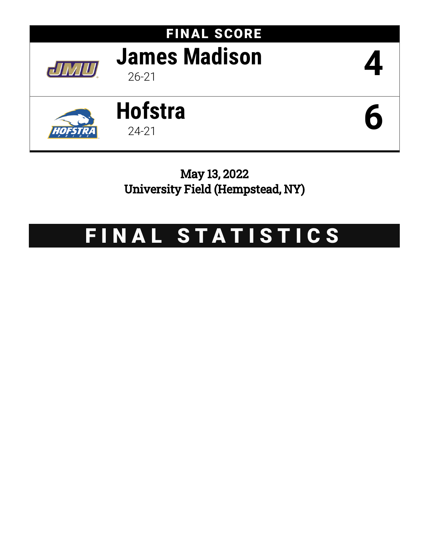

May 13, 2022 University Field (Hempstead, NY)

# FINAL STATISTICS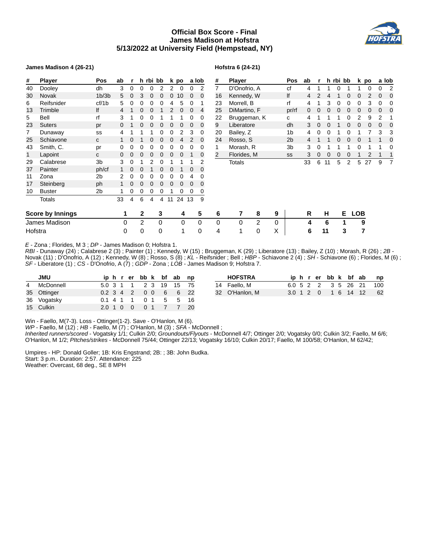# **Official Box Score - Final James Madison at Hofstra 5/13/2022 at University Field (Hempstead, NY)**

#### **James Madison 4 (26-21)**

#### **Hofstra 6 (24-21)**

| #       | <b>Player</b>           | Pos                            | ab |   |              | h rbi bb |          |    | k po  |             | a lob | # |    | Player        |   |              | Pos            | ab |   |    | h rbi bb |    | kμ             |
|---------|-------------------------|--------------------------------|----|---|--------------|----------|----------|----|-------|-------------|-------|---|----|---------------|---|--------------|----------------|----|---|----|----------|----|----------------|
| 40      | Dooley                  | dh                             | 3  | 0 | 0            | $\Omega$ | 2        | 2  | 0     | $\Omega$    | 2     | 7 |    | D'Onofrio, A  |   |              | сf             | 4  |   | 1  | $\Omega$ |    |                |
| 30      | <b>Novak</b>            | 1 <sub>b</sub> /3 <sub>b</sub> | 5  | 0 | 3            | 0        | $\Omega$ | 0  | 10    | 0           | 0     |   | 16 | Kennedy, W    |   |              | lf             | 4  | 2 | 4  |          | 0  | $\Omega$       |
| 6       | Reifsnider              | cf/1b                          | 5  | 0 | 0            | 0        | 0        | 4  | 5     | 0           | 1     |   | 23 | Morrell, B    |   |              | rf             | 4  |   | 3  | 0        | 0  | 0              |
| 13      | Trimble                 | lf                             |    |   | 0            | 0        |          | 2  | 0     | $\mathbf 0$ | 4     |   | 25 | DiMartino, F  |   |              | pr/rf          | 0  |   | 0  | $\Omega$ | 0  | 0              |
| 5       | Bell                    | rf                             | 3  |   | 0            | 0        |          |    |       | 0           | 0     |   | 22 | Bruggeman, K  |   |              | C              | 4  |   |    |          | 0  | $\overline{2}$ |
| 23      | <b>Suters</b>           | pr                             | 0  |   | 0            | 0        | 0        | 0  | 0     | 0           | 0     | 9 |    | Liberatore    |   |              | dh             | 3  | 0 | 0  |          | 0  | 0              |
|         | Dunaway                 | SS                             |    |   |              |          | 0        | 0  | 2     | 3           | 0     |   | 20 | Bailey, Z     |   |              | 1 <sub>b</sub> | 4  | 0 | 0  |          | 0  | 1              |
| 25      | Schiavone               | С                              |    |   |              | 0        | 0        | 0  |       | 2           | 0     |   | 24 | Rosso, S      |   |              | 2 <sub>b</sub> | 4  |   |    | $\Omega$ | 0  | 0              |
| 43      | Smith, C.               | pr                             | 0  | 0 | 0            | 0        | 0        | 0  | 0     | 0           | 0     | 1 |    | Morash, R     |   |              | Зb             | 3  | 0 |    |          |    | 0              |
| 1       | Lapoint                 | C                              | 0  |   | 0            | 0        | 0        | 0  | 0     | 1           | 0     | 2 |    | Florides, M   |   |              | SS             | 3  | 0 | 0  | 0        | 0  |                |
| 29      | Calabrese               | 3 <sub>b</sub>                 | 3  | 0 |              | 2        | 0        |    |       | 1           | 2     |   |    | <b>Totals</b> |   |              |                | 33 | 6 | 11 | 5        | 2  | 5 <sub>2</sub> |
| 37      | Painter                 | ph/cf                          |    | 0 | 0            |          | 0        | 0  |       | 0           | 0     |   |    |               |   |              |                |    |   |    |          |    |                |
| 11      | Zona                    | 2b                             |    | 0 | 0            | 0        | 0        | 0  | 0     | 4           | 0     |   |    |               |   |              |                |    |   |    |          |    |                |
| 17      | Steinberg               | ph                             |    | 0 | 0            | 0        | 0        | 0  | 0     | $\Omega$    | 0     |   |    |               |   |              |                |    |   |    |          |    |                |
| 10      | <b>Buster</b>           | 2 <sub>b</sub>                 |    | 0 | 0            | 0        | 0        | 1  | 0     | 0           | 0     |   |    |               |   |              |                |    |   |    |          |    |                |
|         | <b>Totals</b>           |                                | 33 | 4 | 6            | 4        | 4        | 11 | 24 13 |             | 9     |   |    |               |   |              |                |    |   |    |          |    |                |
|         | <b>Score by Innings</b> |                                | 1  |   | $\mathbf{2}$ |          | 3        |    | 4     |             | 5     |   | 6  | 7             | 8 | 9            |                | R  |   | н  |          | E. | <b>LOB</b>     |
|         | James Madison           |                                | 0  |   | 2            |          | 0        |    | 0     |             | 0     |   | 0  | $\mathbf{0}$  | 2 | $\mathbf{0}$ |                | 4  |   | 6  |          | 1  | 9              |
| Hofstra |                         |                                | 0  |   | 0            |          | 0        |    |       |             | 0     |   | 4  | $\mathbf{1}$  | 0 | Χ            |                | 6  |   | 11 |          | 3  | 7              |

| #              | <b>Player</b> | Pos            | ab |          |    | h rbi bb |   | k | po            |              | a lob |
|----------------|---------------|----------------|----|----------|----|----------|---|---|---------------|--------------|-------|
| 7              | D'Onofrio, A  | сf             | 4  |          |    |          |   |   | 0             |              | 2     |
| 16             | Kennedy, W    | lf             | 4  |          | 4  |          | U | 0 | 2             | 0            | 0     |
| 23             | Morrell, B    | rf             | 4  |          | 3  | 0        | O | 0 | 3             | 0            | O     |
| 25             | DiMartino, F  | pr/rf          | O  | $\Omega$ | O  | O        | O | 0 | 0             | 0            | 0     |
| 22             | Bruggeman, K  | C              | 4  |          |    | 1        | ი | 2 | 9             | っ            |       |
| 9              | Liberatore    | dh             | 3  | n        | n  | 1        | n | 0 | 0             | $\Omega$     | O     |
| 20             | Bailey, Z     | 1b             | 4  |          | ŋ  | 1        | n | 1 | 7             | 3            | З     |
| 24             | Rosso, S      | 2 <sub>b</sub> | Δ  |          |    | ŋ        | ი | 0 | 1             | 1            | O     |
| 1              | Morash, R     | 3b             | 3  |          |    | 1        |   | O | 1             | 1            |       |
| $\overline{c}$ | Florides, M   | SS             | 3  | O        | O  | O        | O | 1 | $\mathcal{P}$ | $\mathbf{1}$ |       |
|                | Totals        |                | 33 | հ        | 11 | 5        | 2 | 5 | 27            | 9            |       |

*E* - Zona ; Florides, M 3 ; *DP* - James Madison 0; Hofstra 1.

*RBI* - Dunaway (24) ; Calabrese 2 (3) ; Painter (1) ; Kennedy, W (15) ; Bruggeman, K (29) ; Liberatore (13) ; Bailey, Z (10) ; Morash, R (26) ; *2B* - Novak (11) ; D'Onofrio, A (12) ; Kennedy, W (8) ; Rosso, S (8) ; *KL* - Reifsnider ; Bell ; *HBP* - Schiavone 2 (4) ; *SH* - Schiavone (6) ; Florides, M (6) ; *SF* - Liberatore (1) ; *CS* - D'Onofrio, A (7) ; *GDP* - Zona ; *LOB* - James Madison 9; Hofstra 7.

| <b>JMU</b>  |             |  |             |                |                     | iphrerbbk bfab | np |    |
|-------------|-------------|--|-------------|----------------|---------------------|----------------|----|----|
| McDonnell   |             |  |             |                | 5.0 3 1 1 2 3 19 15 |                | 75 | 14 |
| 35 Ottinger | $0.2$ 3 4 2 |  |             | 0 <sub>0</sub> | -6                  | 6              | 22 | 32 |
| 36 Vogatsky |             |  | $0.1$ 4 1 1 | 0 <sub>1</sub> | 5                   | -5             | 16 |    |
| 15 Culkin   | 2.0         |  | 0           | $\overline{1}$ |                     |                | 20 |    |

| <b>HOFSTRA</b> |  |  |  |                     | iphrerbbk bfab np       |
|----------------|--|--|--|---------------------|-------------------------|
| 14 Faello, M   |  |  |  |                     | 6.0 5 2 2 3 5 26 21 100 |
| 32 O'Hanlon, M |  |  |  | 3.0 1 2 0 1 6 14 12 | - 62                    |

Win - Faello, M(7-3). Loss - Ottinger(1-2). Save - O'Hanlon, M (6).

*WP* - Faello, M (12) ; *HB* - Faello, M (7) ; O'Hanlon, M (3) ; *SFA* - McDonnell ;

*Inherited runners/scored* - Vogatsky 1/1; Culkin 2/0; *Groundouts/Flyouts* - McDonnell 4/7; Ottinger 2/0; Vogatsky 0/0; Culkin 3/2; Faello, M 6/6; O'Hanlon, M 1/2; *PItches/strikes* - McDonnell 75/44; Ottinger 22/13; Vogatsky 16/10; Culkin 20/17; Faello, M 100/58; O'Hanlon, M 62/42;

Umpires - HP: Donald Goller; 1B: Kris Engstrand; 2B: ; 3B: John Budka. Start: 3 p.m.. Duration: 2:57. Attendance: 225 Weather: Overcast, 68 deg., SE 8 MPH

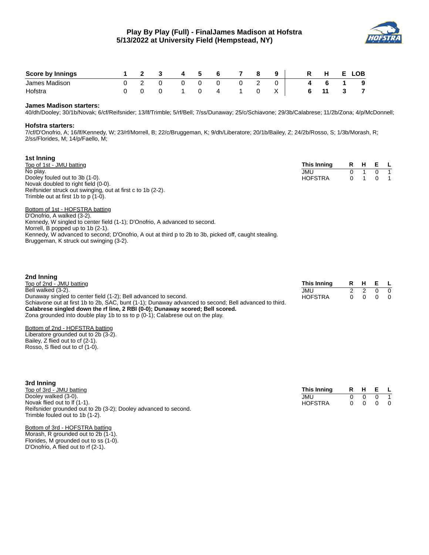

| <b>Score by Innings</b> |  | $\overline{\mathbf{3}}$ | - 4 | -5. | 6 |  | 9 I | <b>R</b> | н. | Е. | <b>LOB</b> |
|-------------------------|--|-------------------------|-----|-----|---|--|-----|----------|----|----|------------|
| James Madison           |  |                         |     |     | 0 |  |     | 4        |    |    | - 9        |
| Hofstra                 |  |                         |     |     |   |  |     |          | 11 |    |            |

#### **James Madison starters:**

40/dh/Dooley; 30/1b/Novak; 6/cf/Reifsnider; 13/lf/Trimble; 5/rf/Bell; 7/ss/Dunaway; 25/c/Schiavone; 29/3b/Calabrese; 11/2b/Zona; 4/p/McDonnell;

#### **Hofstra starters:**

**2nd Inning**

7/cf/D'Onofrio, A; 16/lf/Kennedy, W; 23/rf/Morrell, B; 22/c/Bruggeman, K; 9/dh/Liberatore; 20/1b/Bailey, Z; 24/2b/Rosso, S; 1/3b/Morash, R; 2/ss/Florides, M; 14/p/Faello, M;

| 1st Inning                                                  |                |         |                |
|-------------------------------------------------------------|----------------|---------|----------------|
| Top of 1st - JMU batting                                    | This Inning    | R H E L |                |
| No play.                                                    | JMU            |         |                |
| Dooley fouled out to 3b (1-0).                              | <b>HOFSTRA</b> |         | $\overline{1}$ |
| Novak doubled to right field (0-0).                         |                |         |                |
| Reifsnider struck out swinging, out at first c to 1b (2-2). |                |         |                |
| Trimble out at first 1b to $p(1-0)$ .                       |                |         |                |

Bottom of 1st - HOFSTRA batting D'Onofrio, A walked (3-2). Kennedy, W singled to center field (1-1); D'Onofrio, A advanced to second. Morrell, B popped up to 1b (2-1). Kennedy, W advanced to second; D'Onofrio, A out at third p to 2b to 3b, picked off, caught stealing. Bruggeman, K struck out swinging (3-2).

| -----------                                                                                           |                |  |                                                                |  |
|-------------------------------------------------------------------------------------------------------|----------------|--|----------------------------------------------------------------|--|
| Top of 2nd - JMU batting                                                                              | This Inning    |  | R H E L                                                        |  |
| Bell walked (3-2).                                                                                    | JMU            |  | $0\quad 0$                                                     |  |
| Dunaway singled to center field (1-2); Bell advanced to second.                                       | <b>HOFSTRA</b> |  | $\begin{array}{ccccccccccccc}\n0 & 0 & 0 & 0 & 0\n\end{array}$ |  |
| Schiavone out at first 1b to 2b, SAC, bunt (1-1); Dunaway advanced to second; Bell advanced to third. |                |  |                                                                |  |
| Calabrese singled down the rf line, 2 RBI (0-0); Dunaway scored; Bell scored.                         |                |  |                                                                |  |
| Zona grounded into double play 1b to ss to $p(0-1)$ ; Calabrese out on the play.                      |                |  |                                                                |  |

# Bottom of 2nd - HOFSTRA batting Liberatore grounded out to 2b (3-2).

Bailey, Z flied out to cf (2-1). Rosso, S flied out to cf (1-0).

| 3rd Inning                                                      |                |    |        |         |                |
|-----------------------------------------------------------------|----------------|----|--------|---------|----------------|
| Top of 3rd - JMU batting                                        | This Inning    |    |        | R H E L |                |
| Dooley walked (3-0).                                            | JMU            | n. | $\cap$ |         |                |
| Novak flied out to $If(1-1)$ .                                  | <b>HOFSTRA</b> |    | 0 0    |         | $\overline{0}$ |
| Reifsnider grounded out to 2b (3-2); Dooley advanced to second. |                |    |        |         |                |
| Trimble fouled out to 1b (1-2).                                 |                |    |        |         |                |

#### Bottom of 3rd - HOFSTRA batting

Morash, R grounded out to 2b (1-1). Florides, M grounded out to ss (1-0). D'Onofrio, A flied out to rf (2-1).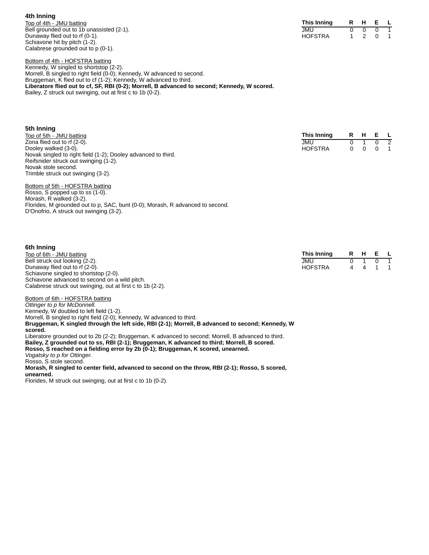**4th Inning** Top of 4th - JMU batting Bell grounded out to 1b unassisted (2-1). Dunaway flied out to rf (0-1). Schiavone hit by pitch (1-2). Calabrese grounded out to p (0-1).

| This Inning | R | н |   |  |
|-------------|---|---|---|--|
| JMU         |   |   |   |  |
| HOFSTRA     |   |   | O |  |

Bottom of 4th - HOFSTRA batting Kennedy, W singled to shortstop (2-2). Morrell, B singled to right field (0-0); Kennedy, W advanced to second. Bruggeman, K flied out to cf (1-2); Kennedy, W advanced to third. **Liberatore flied out to cf, SF, RBI (0-2); Morrell, B advanced to second; Kennedy, W scored.** Bailey, Z struck out swinging, out at first c to 1b (0-2).

| 5th Inning                                                    |                |    |   |    |   |
|---------------------------------------------------------------|----------------|----|---|----|---|
| Top of 5th - JMU batting                                      | This Inning    | R. | н | E. |   |
| Zona flied out to rf (2-0).                                   | <b>JMU</b>     | 0  |   | 0  |   |
| Dooley walked (3-0).                                          | <b>HOFSTRA</b> | 0  |   |    | 1 |
| Novak singled to right field (1-2); Dooley advanced to third. |                |    |   |    |   |
| Reifsnider struck out swinging (1-2).                         |                |    |   |    |   |
| Novak stole second.                                           |                |    |   |    |   |
| Trimble struck out swinging (3-2).                            |                |    |   |    |   |
|                                                               |                |    |   |    |   |

Bottom of 5th - HOFSTRA batting Rosso, S popped up to ss (1-0). Morash, R walked (3-2). Florides, M grounded out to p, SAC, bunt (0-0); Morash, R advanced to second. D'Onofrio, A struck out swinging (3-2).

# **6th Inning**

| <b>bin inning</b>                                          |                |     |         |            |
|------------------------------------------------------------|----------------|-----|---------|------------|
| Top of 6th - JMU batting                                   | This Inning    |     | R H E L |            |
| Bell struck out looking (2-2).                             | JMU            | 0 1 |         | $0\quad 1$ |
| Dunaway flied out to rf (2-0).                             | <b>HOFSTRA</b> |     | 4 4 1 1 |            |
| Schiavone singled to shortstop (2-0).                      |                |     |         |            |
| Schiavone advanced to second on a wild pitch.              |                |     |         |            |
| Calabrese struck out swinging, out at first c to 1b (2-2). |                |     |         |            |

Bottom of 6th - HOFSTRA batting *Ottinger to p for McDonnell.* Kennedy, W doubled to left field (1-2). Morrell, B singled to right field (2-0); Kennedy, W advanced to third. **Bruggeman, K singled through the left side, RBI (2-1); Morrell, B advanced to second; Kennedy, W scored.** Liberatore grounded out to 2b (2-2); Bruggeman, K advanced to second; Morrell, B advanced to third. **Bailey, Z grounded out to ss, RBI (2-1); Bruggeman, K advanced to third; Morrell, B scored. Rosso, S reached on a fielding error by 2b (0-1); Bruggeman, K scored, unearned.** *Vogatsky to p for Ottinger.* Rosso, S stole second. **Morash, R singled to center field, advanced to second on the throw, RBI (2-1); Rosso, S scored, unearned.**

Florides, M struck out swinging, out at first c to 1b (0-2).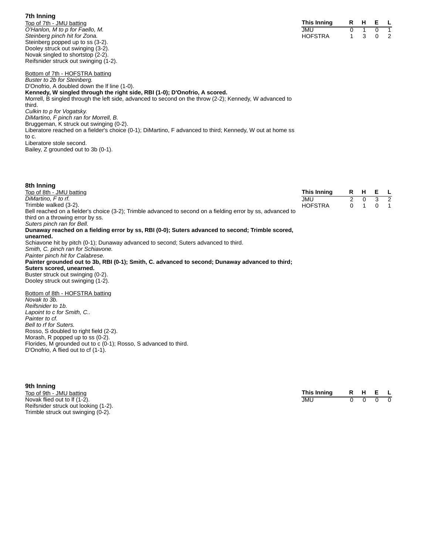#### **7th Inning**

Top of 7th - JMU batting *O'Hanlon, M to p for Faello, M. Steinberg pinch hit for Zona.* Steinberg popped up to ss (3-2). Dooley struck out swinging (3-2). Novak singled to shortstop (2-2). Reifsnider struck out swinging (1-2).

| This Inning | н |   |  |
|-------------|---|---|--|
| JMU         |   |   |  |
| HOFSTRA     |   | O |  |

Bottom of 7th - HOFSTRA batting *Buster to 2b for Steinberg.* D'Onofrio, A doubled down the lf line (1-0). **Kennedy, W singled through the right side, RBI (1-0); D'Onofrio, A scored.** Morrell, B singled through the left side, advanced to second on the throw (2-2); Kennedy, W advanced to third. *Culkin to p for Vogatsky. DiMartino, F pinch ran for Morrell, B.* Bruggeman, K struck out swinging (0-2). Liberatore reached on a fielder's choice (0-1); DiMartino, F advanced to third; Kennedy, W out at home ss to c. Liberatore stole second. Bailey, Z grounded out to 3b (0-1).

| 8th Inning                                                                                                  |                |                |              |   |                |
|-------------------------------------------------------------------------------------------------------------|----------------|----------------|--------------|---|----------------|
| Top of 8th - JMU batting                                                                                    | This Inning    |                | R H          | Е | $\mathsf{L}$   |
| DiMartino, F to rf.                                                                                         | <b>JMU</b>     | $\overline{2}$ | $\Omega$     |   | 3 <sup>2</sup> |
| Trimble walked (3-2).                                                                                       | <b>HOFSTRA</b> | $\Omega$       | $\mathbf{1}$ | 0 | $\overline{1}$ |
| Bell reached on a fielder's choice (3-2); Trimble advanced to second on a fielding error by ss, advanced to |                |                |              |   |                |
| third on a throwing error by ss.                                                                            |                |                |              |   |                |
| Suters pinch ran for Bell.                                                                                  |                |                |              |   |                |
| Dunaway reached on a fielding error by ss, RBI (0-0); Suters advanced to second; Trimble scored,            |                |                |              |   |                |
| unearned.                                                                                                   |                |                |              |   |                |
| Schiavone hit by pitch (0-1); Dunaway advanced to second; Suters advanced to third.                         |                |                |              |   |                |
| Smith, C. pinch ran for Schiavone.                                                                          |                |                |              |   |                |
| Painter pinch hit for Calabrese.                                                                            |                |                |              |   |                |
| Painter grounded out to 3b, RBI (0-1); Smith, C. advanced to second; Dunaway advanced to third;             |                |                |              |   |                |
| Suters scored, unearned.                                                                                    |                |                |              |   |                |
| Buster struck out swinging (0-2).                                                                           |                |                |              |   |                |
| Dooley struck out swinging (1-2).                                                                           |                |                |              |   |                |
| Bottom of 8th - HOFSTRA batting                                                                             |                |                |              |   |                |
| Novak to 3b.                                                                                                |                |                |              |   |                |
| Reifsnider to 1b.                                                                                           |                |                |              |   |                |
| Lapoint to c for Smith, C                                                                                   |                |                |              |   |                |
| Painter to cf.                                                                                              |                |                |              |   |                |
| Bell to rf for Suters.                                                                                      |                |                |              |   |                |
| Rosso, S doubled to right field (2-2).                                                                      |                |                |              |   |                |
| Morash, R popped up to ss (0-2).                                                                            |                |                |              |   |                |
| Florides, M grounded out to c (0-1); Rosso, S advanced to third.                                            |                |                |              |   |                |
| D'Onofrio, A flied out to cf (1-1).                                                                         |                |                |              |   |                |

#### **9th Inning**

Top of 9th - JMU batting Novak flied out to lf (1-2). Reifsnider struck out looking (1-2). Trimble struck out swinging (0-2).

| This Inning |  |  |
|-------------|--|--|
| JMU         |  |  |